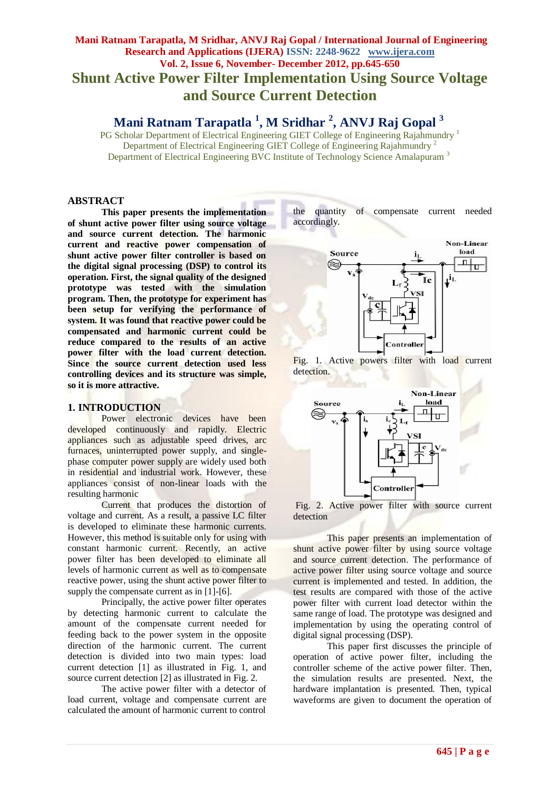# **Mani Ratnam Tarapatla, M Sridhar, ANVJ Raj Gopal / International Journal of Engineering Research and Applications (IJERA) ISSN: 2248-9622 www.ijera.com Vol. 2, Issue 6, November- December 2012, pp.645-650 Shunt Active Power Filter Implementation Using Source Voltage and Source Current Detection**

 **Mani Ratnam Tarapatla <sup>1</sup> , M Sridhar <sup>2</sup> , ANVJ Raj Gopal <sup>3</sup>**

PG Scholar Department of Electrical Engineering GIET College of Engineering Rajahmundry<sup>1</sup> Department of Electrical Engineering GIET College of Engineering Rajahmundry<sup>2</sup> Department of Electrical Engineering BVC Institute of Technology Science Amalapuram<sup>3</sup>

### **ABSTRACT**

**This paper presents the implementation of shunt active power filter using source voltage and source current detection. The harmonic current and reactive power compensation of shunt active power filter controller is based on the digital signal processing (DSP) to control its operation. First, the signal quality of the designed prototype was tested with the simulation program. Then, the prototype for experiment has been setup for verifying the performance of system. It was found that reactive power could be compensated and harmonic current could be reduce compared to the results of an active power filter with the load current detection. Since the source current detection used less controlling devices and its structure was simple, so it is more attractive.**

## **1. INTRODUCTION**

Power electronic devices have been developed continuously and rapidly. Electric appliances such as adjustable speed drives, arc furnaces, uninterrupted power supply, and singlephase computer power supply are widely used both in residential and industrial work. However, these appliances consist of non-linear loads with the resulting harmonic

Current that produces the distortion of voltage and current. As a result, a passive LC filter is developed to eliminate these harmonic currents. However, this method is suitable only for using with constant harmonic current. Recently, an active power filter has been developed to eliminate all levels of harmonic current as well as to compensate reactive power, using the shunt active power filter to supply the compensate current as in [1]-[6].

Principally, the active power filter operates by detecting harmonic current to calculate the amount of the compensate current needed for feeding back to the power system in the opposite direction of the harmonic current. The current detection is divided into two main types: load current detection [1] as illustrated in Fig. 1, and source current detection [2] as illustrated in Fig. 2.

The active power filter with a detector of load current, voltage and compensate current are calculated the amount of harmonic current to control the quantity of compensate current needed accordingly.



Fig. 1. Active powers filter with load current detection.





This paper presents an implementation of shunt active power filter by using source voltage and source current detection. The performance of active power filter using source voltage and source current is implemented and tested. In addition, the test results are compared with those of the active power filter with current load detector within the same range of load. The prototype was designed and implementation by using the operating control of digital signal processing (DSP).

This paper first discusses the principle of operation of active power filter, including the controller scheme of the active power filter. Then, the simulation results are presented. Next, the hardware implantation is presented. Then, typical waveforms are given to document the operation of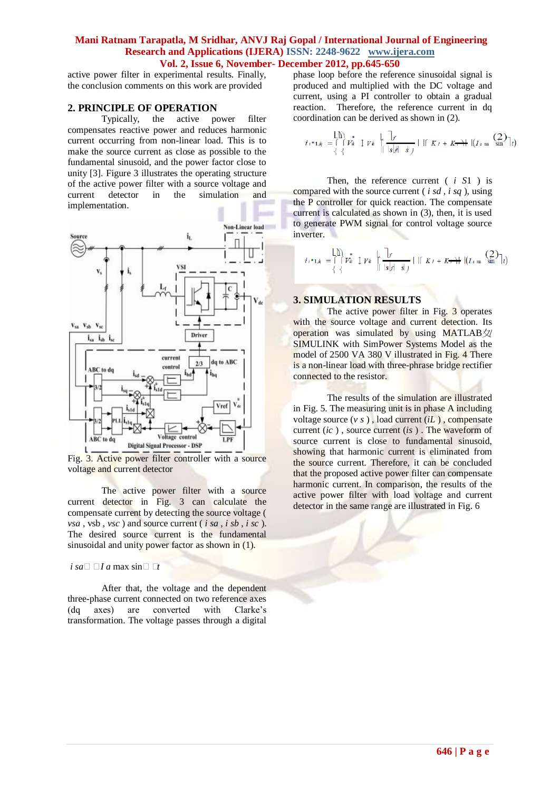active power filter in experimental results. Finally, the conclusion comments on this work are provided

### **2. PRINCIPLE OF OPERATION**

Typically, the active power filter compensates reactive power and reduces harmonic current occurring from non-linear load. This is to make the source current as close as possible to the fundamental sinusoid, and the power factor close to unity [3]. Figure 3 illustrates the operating structure of the active power filter with a source voltage and current detector in the simulation and implementation.



Fig. 3. Active power filter controller with a source voltage and current detector

The active power filter with a source current detector in Fig. 3 can calculate the compensate current by detecting the source voltage ( *vsa* , vsb , *vsc* ) and source current ( *i sa* , *i sb* , *i sc* ). The desired source current is the fundamental sinusoidal and unity power factor as shown in (1).

 $i$  *sa*<sup> $\Box$ </sup> *I a* max sin $\Box$  *I*<sup> $t$ </sup>

After that, the voltage and the dependent three-phase current connected on two reference axes (dq axes) are converted with Clarke's transformation. The voltage passes through a digital

phase loop before the reference sinusoidal signal is produced and multiplied with the DC voltage and current, using a PI controller to obtain a gradual reaction. Therefore, the reference current in dq coordination can be derived as shown in (2).

$$
i_{i^*1,i_{\parallel}} = \bigcap_{\left\{\begin{array}{c}1\\
\end{array}\right\}}^* \bigcup_{\left\{\begin{array}{c}1\\
\end{array}\right\}}^* \bigcup_{\left\{\begin{array}{c}1\\
\end{array}\right\}}^* \bigcup_{\left\{\begin{array}{c}1\\
\end{array}\right\}}^* \bigcup_{\left\{\begin{array}{c}1\\
\end{array}\right\}}^* \bigcup_{\left\{\begin{array}{c}1\\
\end{array}\right\}}^* \bigcup_{\left\{\begin{array}{c}1\\
\end{array}\right\}}^* \bigcap_{\left\{\begin{array}{c}1\\
\end{array}\right\}}^* \bigcap_{\left\{\begin{array}{c}1\\
\end{array}\right\}}^* \bigcap_{\left\{\begin{array}{c}1\\
\end{array}\right\}}^* \bigcap_{\left\{\begin{array}{c}1\\
\end{array}\right\}}^* \bigcap_{\left\{\begin{array}{c}1\\
\end{array}\right\}}^* \bigcap_{\left\{\begin{array}{c}1\\
\end{array}\right\}}^* \bigcap_{\left\{\begin{array}{c}1\\
\end{array}\right\}}^* \bigcap_{\left\{\begin{array}{c}1\\
\end{array}\right\}}^* \bigcap_{\left\{\begin{array}{c}1\\
\end{array}\right\}}^* \bigcap_{\left\{\begin{array}{c}1\\
\end{array}\right\}}^* \bigcap_{\left\{\begin{array}{c}1\\
\end{array}\right\}}^* \bigcap_{\left\{\begin{array}{c}1\\
\end{array}\right\}}^* \bigcap_{\left\{\begin{array}{c}1\\
\end{array}\right\}}^* \bigcap_{\left\{\begin{array}{c}1\\
\end{array}\right\}}^* \bigcap_{\left\{\begin{array}{c}1\\
\end{array}\right\}}^* \bigcap_{\left\{\begin{array}{c}1\\
\end{array}\right\}}^* \bigcap_{\left\{\begin{array}{c}1\\
\end{array}\right\}}^* \bigcap_{\left\{\begin{array}{c}1\\
\end{array}\right\}}^* \bigcap_{\left\{\begin{array}{c}1\\
\end{array}\right\}}^* \bigcap_{\left\{\begin{array}{c}1\\
\end{array}\right\}}^* \bigcap_{\left\{\begin{array}{c}1\\
\
$$

Then, the reference current ( *i S*1 ) is compared with the source current ( *i sd* , *i sq* ), using the P controller for quick reaction. The compensate current is calculated as shown in (3), then, it is used to generate PWM signal for control voltage source inverter.

$$
i_{\iota^*1,i_{\sharp}} = \bigcap_{\{\}\iota^*}\iota^* \mathcal{V}_{\ell} \quad \biguplus_{\{|\iota| \leq |A| \leq i_{\sharp} \}} \mathcal{V}_{\ell} \quad \bigcap_{\{|\iota| \leq |A| \leq i_{\sharp} \}} \mathcal{V}_{\ell} \quad \text{if} \quad K_{\ell} + K \rightarrow \mathcal{H} \quad \big(\big(\mathcal{I}_{\ell} \text{ as } \sin^{-1} \big) \big) \big) \big) \big) \big) \big) \big) \bigg\}
$$

#### **3. SIMULATION RESULTS**

The active power filter in Fig. 3 operates with the source voltage and current detection. Its operation was simulated by using MATLAB $\frac{1}{2}$ SIMULINK with SimPower Systems Model as the model of 2500 VA 380 V illustrated in Fig. 4 There is a non-linear load with three-phrase bridge rectifier connected to the resistor.

The results of the simulation are illustrated in Fig. 5. The measuring unit is in phase A including voltage source (*v s* ) , load current (*iL* ) , compensate current (*ic* ) , source current (*is* ) . The waveform of source current is close to fundamental sinusoid, showing that harmonic current is eliminated from the source current. Therefore, it can be concluded that the proposed active power filter can compensate harmonic current. In comparison, the results of the active power filter with load voltage and current detector in the same range are illustrated in Fig. 6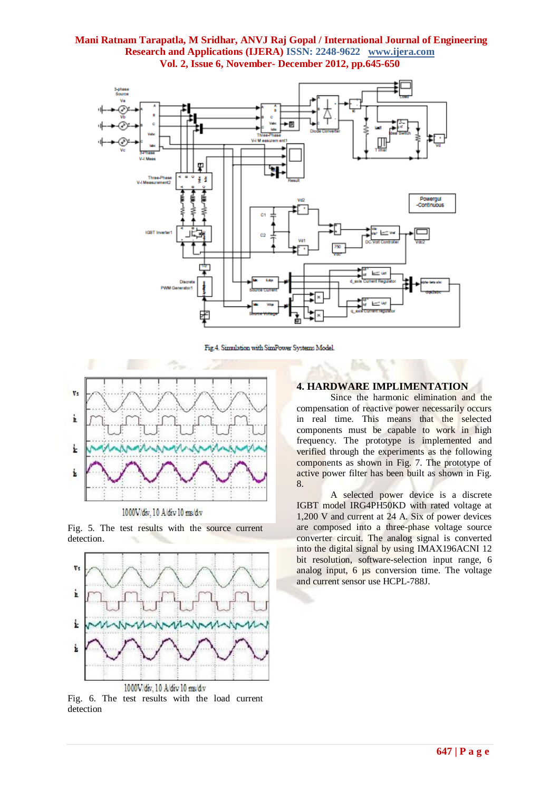

Fig.4. Simulation with SimPower Systems Model.



1000V/div, 10 A/div 10 ms/d.v

Fig. 5. The test results with the source current detection.



Fig. 6. The test results with the load current detection

# **4. HARDWARE IMPLIMENTATION**

Since the harmonic elimination and the compensation of reactive power necessarily occurs in real time. This means that the selected components must be capable to work in high frequency. The prototype is implemented and verified through the experiments as the following components as shown in Fig. 7. The prototype of active power filter has been built as shown in Fig. 8.

A selected power device is a discrete IGBT model IRG4PH50KD with rated voltage at 1,200 V and current at 24 A. Six of power devices are composed into a three-phase voltage source converter circuit. The analog signal is converted into the digital signal by using IMAX196ACNI 12 bit resolution, software-selection input range, 6 analog input, 6  $\mu$ s conversion time. The voltage and current sensor use HCPL-788J.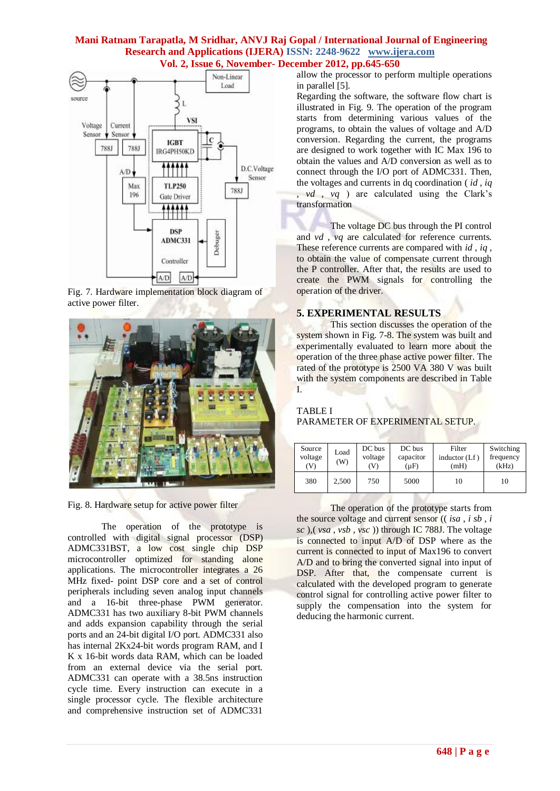

Fig. 7. Hardware implementation block diagram of active power filter.



Fig. 8. Hardware setup for active power filter

The operation of the prototype is controlled with digital signal processor (DSP) ADMC331BST, a low cost single chip DSP microcontroller optimized for standing alone applications. The microcontroller integrates a 26 MHz fixed- point DSP core and a set of control peripherals including seven analog input channels and a 16-bit three-phase PWM generator. ADMC331 has two auxiliary 8-bit PWM channels and adds expansion capability through the serial ports and an 24-bit digital I/O port. ADMC331 also has internal 2Kx24-bit words program RAM, and I K x 16-bit words data RAM, which can be loaded from an external device via the serial port. ADMC331 can operate with a 38.5ns instruction cycle time. Every instruction can execute in a single processor cycle. The flexible architecture and comprehensive instruction set of ADMC331

allow the processor to perform multiple operations in parallel [5].

Regarding the software, the software flow chart is illustrated in Fig. 9. The operation of the program starts from determining various values of the programs, to obtain the values of voltage and A/D conversion. Regarding the current, the programs are designed to work together with IC Max 196 to obtain the values and A/D conversion as well as to connect through the I/O port of ADMC331. Then, the voltages and currents in dq coordination ( *id* , *iq* , *vd* , *vq* ) are calculated using the Clark's transformation

The voltage DC bus through the PI control and *vd* , *vq* are calculated for reference currents. These reference currents are compared with *id* , *iq* , to obtain the value of compensate current through the P controller. After that, the results are used to create the PWM signals for controlling the operation of the driver.

## **5. EXPERIMENTAL RESULTS**

This section discusses the operation of the system shown in Fig. 7-8. The system was built and experimentally evaluated to learn more about the operation of the three phase active power filter. The rated of the prototype is 2500 VA 380 V was built with the system components are described in Table I.

# TABLE I PARAMETER OF EXPERIMENTAL SETUP.

| Source<br>voltage<br>(V) | Load<br>(W) | DC bus<br>voltage<br>V) | DC bus<br>capacitor<br>(µF) | Filter<br>inductor $(Lf)$<br>(mH) | Switching<br>frequency<br>(kHz) |
|--------------------------|-------------|-------------------------|-----------------------------|-----------------------------------|---------------------------------|
| 380                      | 2.500       | 750                     | 5000                        | 10                                | 10                              |

The operation of the prototype starts from the source voltage and current sensor (( *isa* , *i sb* , *i sc* ),( *vsa* , *vsb* , *vsc* )) through IC 788J. The voltage is connected to input A/D of DSP where as the current is connected to input of Max196 to convert A/D and to bring the converted signal into input of DSP. After that, the compensate current is calculated with the developed program to generate control signal for controlling active power filter to supply the compensation into the system for deducing the harmonic current.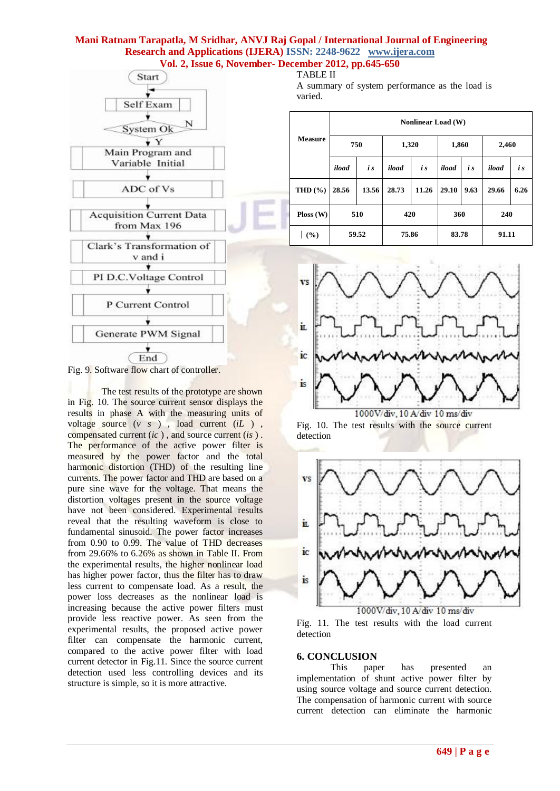

Fig. 9. Software flow chart of controller.

The test results of the prototype are shown in Fig. 10. The source current sensor displays the results in phase A with the measuring units of voltage source (*v s* ) , load current (*iL* ) , compensated current (*ic* ) , and source current (*is* ) . The performance of the active power filter is measured by the power factor and the total harmonic distortion (THD) of the resulting line currents. The power factor and THD are based on a pure sine wave for the voltage. That means the distortion voltages present in the source voltage have not been considered. Experimental results reveal that the resulting waveform is close to fundamental sinusoid. The power factor increases from 0.90 to 0.99. The value of THD decreases from 29.66% to 6.26% as shown in Table II. From the experimental results, the higher nonlinear load has higher power factor, thus the filter has to draw less current to compensate load. As a result, the power loss decreases as the nonlinear load is increasing because the active power filters must provide less reactive power. As seen from the experimental results, the proposed active power filter can compensate the harmonic current, compared to the active power filter with load current detector in Fig.11. Since the source current detection used less controlling devices and its structure is simple, so it is more attractive.

TABLE II A summary of system performance as the load is varied.

| <b>Measure</b> | <b>Nonlinear Load</b> (W) |       |       |       |       |      |       |      |  |  |  |
|----------------|---------------------------|-------|-------|-------|-------|------|-------|------|--|--|--|
|                | 750                       |       | 1,320 |       | 1,860 |      | 2,460 |      |  |  |  |
|                | iload                     | i s   | iload | i s   | iload | i s  | iload | i s  |  |  |  |
| THD $(\% )$    | 28.56                     | 13.56 | 28.73 | 11.26 | 29.10 | 9.63 | 29.66 | 6.26 |  |  |  |
| Ploss(W)       | 510                       |       | 420   |       | 360   |      | 240   |      |  |  |  |
| (%)            | 59.52                     |       | 75.86 |       | 83.78 |      | 91.11 |      |  |  |  |



1000V/div, 10 A/div 10 ms/div Fig. 10. The test results with the source current detection



1000V/div, 10 A/div 10 ms/div Fig. 11. The test results with the load current detection

#### **6. CONCLUSION**

This paper has presented an implementation of shunt active power filter by using source voltage and source current detection. The compensation of harmonic current with source current detection can eliminate the harmonic